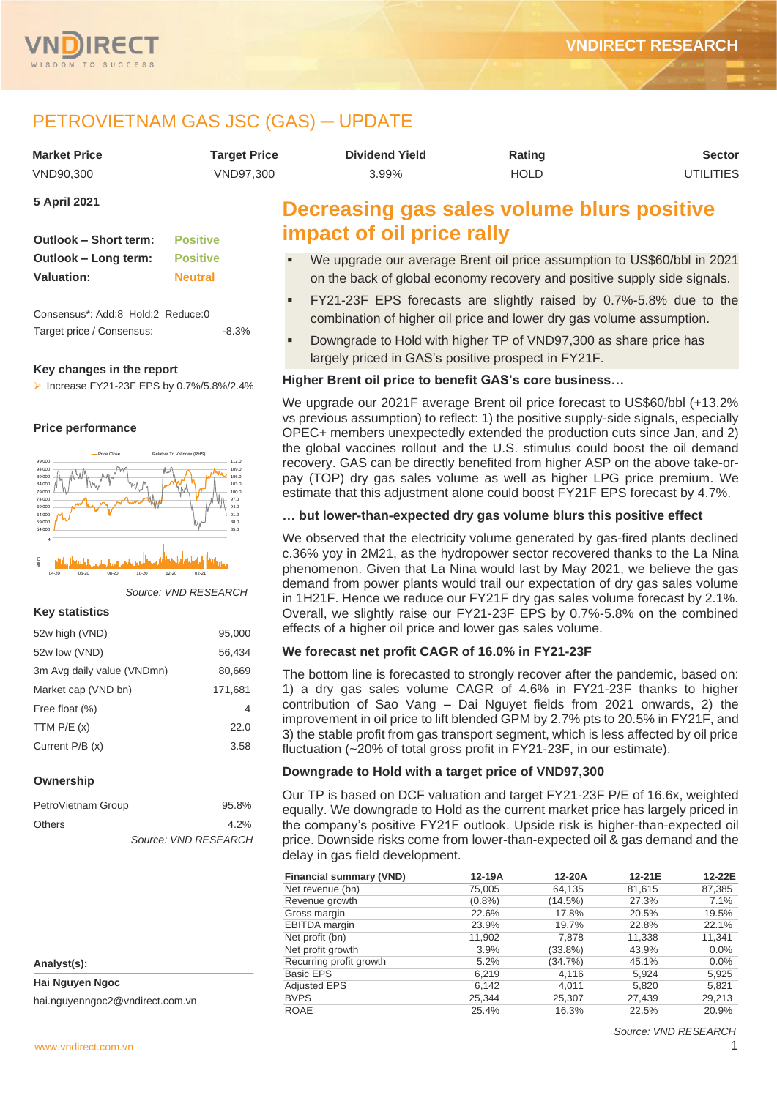

# PETROVIETNAM GAS JSC (GAS) ─ UPDATE

| <b>Market Price</b> | <b>Target Price</b> | <b>Dividend Yield</b>                      | Rating      | Sector    |
|---------------------|---------------------|--------------------------------------------|-------------|-----------|
| VND90.300           | VND97.300           | $3.99\%$                                   | <b>HOLD</b> | UTILITIES |
| 5 April 2021        |                     | Decreasing gas sales volume blurs positive |             |           |

| Outlook - Short term: | <b>Positive</b> |
|-----------------------|-----------------|
| Outlook – Long term:  | <b>Positive</b> |
| Valuation:            | <b>Neutral</b>  |

Consensus\*: Add:8 Hold:2 Reduce:0 Target price / Consensus:  $-8.3\%$ 

# **Key changes in the report**

➢ Increase FY21-23F EPS by 0.7%/5.8%/2.4%

# **Price performance**



*Source: VND RESEARCH*

# **Key statistics**

| 52w high (VND)             | 95,000  |
|----------------------------|---------|
| 52w low (VND)              | 56.434  |
| 3m Avg daily value (VNDmn) | 80,669  |
| Market cap (VND bn)        | 171,681 |
| Free float (%)             | 4       |
| TTM $P/E(x)$               | 22.0    |
| Current $P/B(x)$           | 3.58    |
|                            |         |

## **Ownership**

| PetroVietnam Group | 95.8%                |
|--------------------|----------------------|
| Others             | 4.2%                 |
|                    | Source: VND RESEARCH |

| Analyst(s):                     |
|---------------------------------|
| Hai Nguyen Ngoc                 |
| hai.nguyenngoc2@vndirect.com.vn |

# **Decreasing gas sales volume blurs positive impact of oil price rally**

- We upgrade our average Brent oil price assumption to US\$60/bbl in 2021 on the back of global economy recovery and positive supply side signals.
- FY21-23F EPS forecasts are slightly raised by 0.7%-5.8% due to the combination of higher oil price and lower dry gas volume assumption.
- Downgrade to Hold with higher TP of VND97,300 as share price has largely priced in GAS's positive prospect in FY21F.

# **Higher Brent oil price to benefit GAS's core business…**

We upgrade our 2021F average Brent oil price forecast to US\$60/bbl (+13.2% vs previous assumption) to reflect: 1) the positive supply-side signals, especially OPEC+ members unexpectedly extended the production cuts since Jan, and 2) the global vaccines rollout and the U.S. stimulus could boost the oil demand recovery. GAS can be directly benefited from higher ASP on the above take-orpay (TOP) dry gas sales volume as well as higher LPG price premium. We estimate that this adjustment alone could boost FY21F EPS forecast by 4.7%.

# **… but lower-than-expected dry gas volume blurs this positive effect**

We observed that the electricity volume generated by gas-fired plants declined c.36% yoy in 2M21, as the hydropower sector recovered thanks to the La Nina phenomenon. Given that La Nina would last by May 2021, we believe the gas demand from power plants would trail our expectation of dry gas sales volume in 1H21F. Hence we reduce our FY21F dry gas sales volume forecast by 2.1%. Overall, we slightly raise our FY21-23F EPS by 0.7%-5.8% on the combined effects of a higher oil price and lower gas sales volume.

# **We forecast net profit CAGR of 16.0% in FY21-23F**

The bottom line is forecasted to strongly recover after the pandemic, based on: 1) a dry gas sales volume CAGR of 4.6% in FY21-23F thanks to higher contribution of Sao Vang – Dai Nguyet fields from 2021 onwards, 2) the improvement in oil price to lift blended GPM by 2.7% pts to 20.5% in FY21F, and 3) the stable profit from gas transport segment, which is less affected by oil price fluctuation (~20% of total gross profit in FY21-23F, in our estimate).

# **Downgrade to Hold with a target price of VND97,300**

Our TP is based on DCF valuation and target FY21-23F P/E of 16.6x, weighted equally. We downgrade to Hold as the current market price has largely priced in the company's positive FY21F outlook. Upside risk is higher-than-expected oil price. Downside risks come from lower-than-expected oil & gas demand and the delay in gas field development.

| <b>Financial summary (VND)</b> | 12-19A    | 12-20A     | 12-21E | 12-22E |
|--------------------------------|-----------|------------|--------|--------|
| Net revenue (bn)               | 75,005    | 64,135     | 81,615 | 87,385 |
| Revenue growth                 | $(0.8\%)$ | (14.5%)    | 27.3%  | 7.1%   |
| Gross margin                   | 22.6%     | 17.8%      | 20.5%  | 19.5%  |
| <b>EBITDA</b> margin           | 23.9%     | 19.7%      | 22.8%  | 22.1%  |
| Net profit (bn)                | 11,902    | 7.878      | 11,338 | 11,341 |
| Net profit growth              | 3.9%      | $(33.8\%)$ | 43.9%  | 0.0%   |
| Recurring profit growth        | 5.2%      | (34.7%)    | 45.1%  | 0.0%   |
| <b>Basic EPS</b>               | 6,219     | 4,116      | 5,924  | 5,925  |
| <b>Adjusted EPS</b>            | 6,142     | 4,011      | 5,820  | 5,821  |
| <b>BVPS</b>                    | 25,344    | 25,307     | 27,439 | 29,213 |
| <b>ROAE</b>                    | 25.4%     | 16.3%      | 22.5%  | 20.9%  |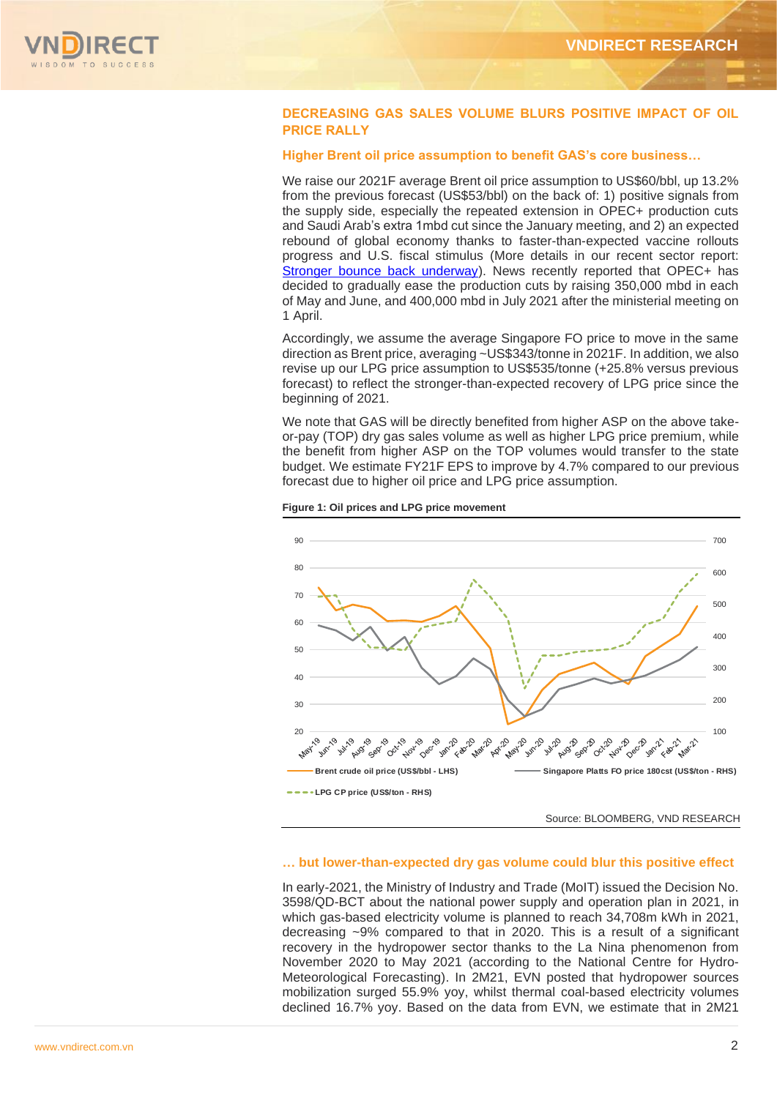

# **DECREASING GAS SALES VOLUME BLURS POSITIVE IMPACT OF OIL PRICE RALLY**

# **Higher Brent oil price assumption to benefit GAS's core business…**

We raise our 2021F average Brent oil price assumption to US\$60/bbl, up 13.2% from the previous forecast (US\$53/bbl) on the back of: 1) positive signals from the supply side, especially the repeated extension in OPEC+ production cuts and Saudi Arab's extra 1mbd cut since the January meeting, and 2) an expected rebound of global economy thanks to faster-than-expected vaccine rollouts progress and U.S. fiscal stimulus (More details in our recent sector report: [Stronger bounce back underway\)](https://www.vndirect.com.vn/cmsupload/beta/OG_SectorNote_20210319.pdf). News recently reported that OPEC+ has decided to gradually ease the production cuts by raising 350,000 mbd in each of May and June, and 400,000 mbd in July 2021 after the ministerial meeting on 1 April.

Accordingly, we assume the average Singapore FO price to move in the same direction as Brent price, averaging ~US\$343/tonne in 2021F. In addition, we also revise up our LPG price assumption to US\$535/tonne (+25.8% versus previous forecast) to reflect the stronger-than-expected recovery of LPG price since the beginning of 2021.

We note that GAS will be directly benefited from higher ASP on the above takeor-pay (TOP) dry gas sales volume as well as higher LPG price premium, while the benefit from higher ASP on the TOP volumes would transfer to the state budget. We estimate FY21F EPS to improve by 4.7% compared to our previous forecast due to higher oil price and LPG price assumption.





# **… but lower-than-expected dry gas volume could blur this positive effect**

In early-2021, the Ministry of Industry and Trade (MoIT) issued the Decision No. 3598/QD-BCT about the national power supply and operation plan in 2021, in which gas-based electricity volume is planned to reach 34,708m kWh in 2021, decreasing ~9% compared to that in 2020. This is a result of a significant recovery in the hydropower sector thanks to the La Nina phenomenon from November 2020 to May 2021 (according to the National Centre for Hydro-Meteorological Forecasting). In 2M21, EVN posted that hydropower sources mobilization surged 55.9% yoy, whilst thermal coal-based electricity volumes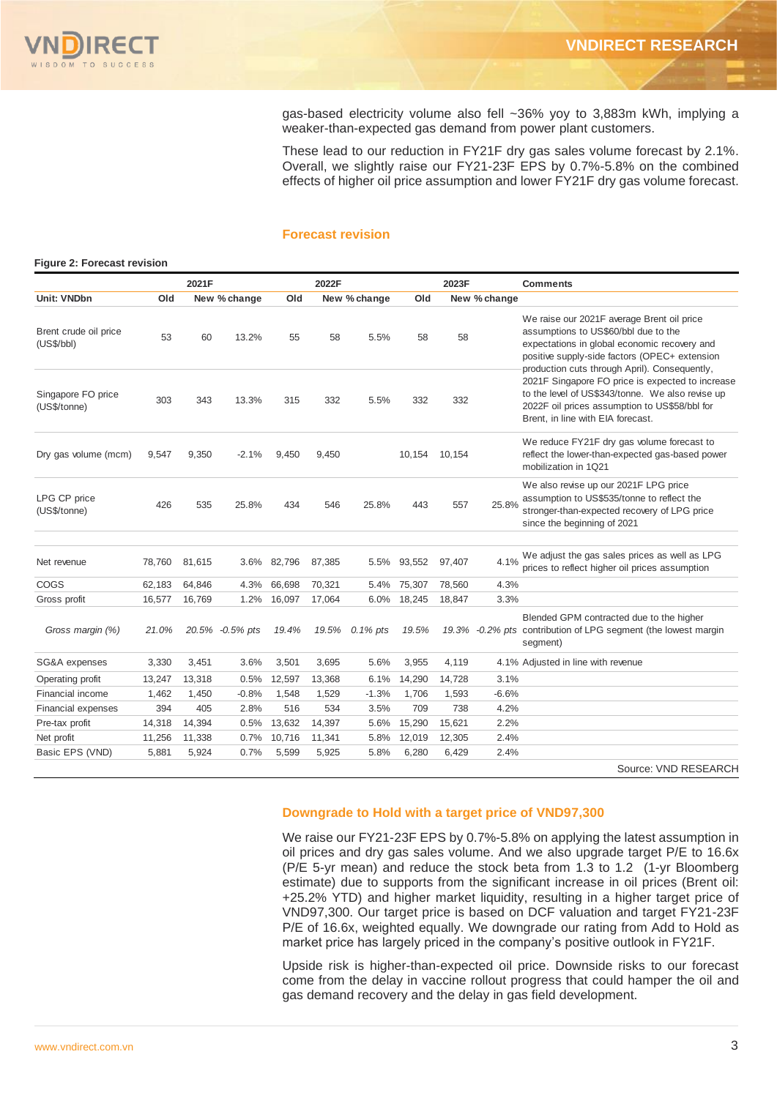gas-based electricity volume also fell ~36% yoy to 3,883m kWh, implying a weaker-than-expected gas demand from power plant customers.

These lead to our reduction in FY21F dry gas sales volume forecast by 2.1%. Overall, we slightly raise our FY21-23F EPS by 0.7%-5.8% on the combined effects of higher oil price assumption and lower FY21F dry gas volume forecast.

# **Forecast revision**

### **Figure 2: Forecast revision** Source: VND RESEARCH **Comments Unit: VNDbn Old New % change Old New % change Old New % change** Brent crude oil price (US\$/bbl) 53 60 13.2% 55 58 5.5% 58 58 Singapore FO price (US\$/tonne) 303 343 13.3% 315 332 5.5% 332 332 Dry gas volume (mcm) 9,547 9,350 -2.1% 9,450 9,450 10,154 10,154 We reduce FY21F dry gas volume forecast to reflect the lower-than-expected gas-based power mobilization in 1Q21 LPG CP price (US\$/tonne) 426 535 25.8% 434 546 25.8% 443 557 25.8% We also revise up our 2021F LPG price assumption to US\$535/tonne to reflect the stronger-than-expected recovery of LPG price since the beginning of 2021 Net revenue 78,760 81,615 3.6% 82,796 87,385 5.5% 93,552 97,407 4.1% We adjust the gas sales prices as well as LPG prices to reflect higher oil prices assumption COGS 62,183 64,846 4.3% 66,698 70,321 5.4% 75,307 78,560 4.3% Gross profit  $16,577$  16,769 1.2% 16,097 17,064 6.0% 18,245 18,847 3.3%  *Gross margin (%) 21.0% 20.5% -0.5% pts 19.4% 19.5% 0.1% pts 19.5% 19.3% -0.2% pts* Blended GPM contracted due to the higher 19.3% -0.2% pts contribution of LPG segment (the lowest margin segment) SG&A expenses 3,330 3,451 3.6% 3,501 3,695 5.6% 3,955 4,119 4.1% Adjusted in line with revenue Operating profit 13,247 13,318 0.5% 12,597 13,368 6.1% 14,290 14,728 3.1% Financial income 1,462 1,450 -0.8% 1,548 1,529 -1.3% 1,706 1,593 -6.6% Financial expenses 394 405 2.8% 516 534 3.5% 709 738 4.2% Pre-tax profit 14,318 14,394 0.5% 13,632 14,397 5.6% 15,290 15,621 2.2% Net profit 11,256 11,338 0.7% 10,716 11,341 5.8% 12,019 12,305 2.4% Basic EPS (VND) 5,881 5,924 0.7% 5,599 5,925 5.8% 6,280 6,429 2.4% **2021F 2022F 2023F** We raise our 2021F average Brent oil price assumptions to US\$60/bbl due to the expectations in global economic recovery and positive supply-side factors (OPEC+ extension production cuts through April). Consequently, 2021F Singapore FO price is expected to increase to the level of US\$343/tonne. We also revise up 2022F oil prices assumption to US\$58/bbl for Brent, in line with EIA forecast.

# **Downgrade to Hold with a target price of VND97,300**

We raise our FY21-23F EPS by 0.7%-5.8% on applying the latest assumption in oil prices and dry gas sales volume. And we also upgrade target P/E to 16.6x (P/E 5-yr mean) and reduce the stock beta from 1.3 to 1.2 (1-yr Bloomberg estimate) due to supports from the significant increase in oil prices (Brent oil: +25.2% YTD) and higher market liquidity, resulting in a higher target price of VND97,300. Our target price is based on DCF valuation and target FY21-23F P/E of 16.6x, weighted equally. We downgrade our rating from Add to Hold as market price has largely priced in the company's positive outlook in FY21F.

Upside risk is higher-than-expected oil price. Downside risks to our forecast come from the delay in vaccine rollout progress that could hamper the oil and gas demand recovery and the delay in gas field development.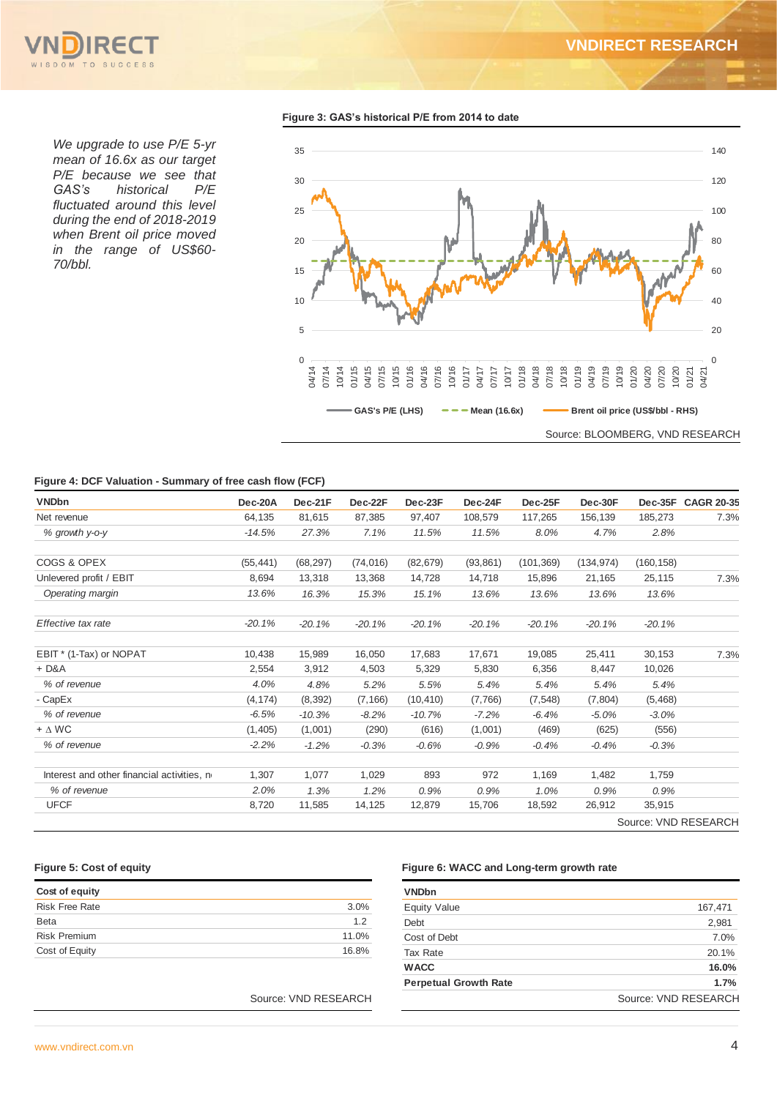

*We upgrade to use P/E 5-yr mean of 16.6x as our target P/E because we see that GAS's historical P/E fluctuated around this level during the end of 2018-2019 when Brent oil price moved in the range of US\$60- 70/bbl.*

**Figure 3: GAS's historical P/E from 2014 to date**



## **Figure 4: DCF Valuation - Summary of free cash flow (FCF)**

| <b>VNDbn</b>                               | Dec-20A   | Dec-21F   | Dec-22F   | Dec-23F   | Dec-24F   | Dec-25F    | Dec-30F    | Dec-35F    | <b>CAGR 20-35</b>    |
|--------------------------------------------|-----------|-----------|-----------|-----------|-----------|------------|------------|------------|----------------------|
| Net revenue                                | 64,135    | 81,615    | 87,385    | 97,407    | 108,579   | 117,265    | 156,139    | 185,273    | 7.3%                 |
| % growth y-o-y                             | $-14.5%$  | 27.3%     | 7.1%      | 11.5%     | 11.5%     | 8.0%       | 4.7%       | 2.8%       |                      |
| COGS & OPEX                                | (55, 441) | (68, 297) | (74, 016) | (82, 679) | (93, 861) | (101, 369) | (134, 974) | (160, 158) |                      |
| Unlevered profit / EBIT                    | 8.694     | 13,318    | 13,368    | 14,728    | 14,718    | 15,896     | 21,165     | 25,115     | 7.3%                 |
| Operating margin                           | 13.6%     | 16.3%     | 15.3%     | 15.1%     | 13.6%     | 13.6%      | 13.6%      | 13.6%      |                      |
| Effective tax rate                         | $-20.1%$  | $-20.1%$  | $-20.1%$  | $-20.1%$  | $-20.1%$  | $-20.1%$   | $-20.1%$   | $-20.1%$   |                      |
| EBIT * (1-Tax) or NOPAT                    | 10,438    | 15,989    | 16,050    | 17,683    | 17.671    | 19,085     | 25,411     | 30,153     | 7.3%                 |
| $+D&A$                                     | 2,554     | 3,912     | 4,503     | 5,329     | 5,830     | 6,356      | 8,447      | 10,026     |                      |
| % of revenue                               | 4.0%      | 4.8%      | 5.2%      | 5.5%      | 5.4%      | 5.4%       | 5.4%       | 5.4%       |                      |
| - CapEx                                    | (4, 174)  | (8, 392)  | (7, 166)  | (10, 410) | (7,766)   | (7, 548)   | (7,804)    | (5,468)    |                      |
| % of revenue                               | $-6.5%$   | $-10.3%$  | $-8.2%$   | $-10.7%$  | $-7.2%$   | $-6.4%$    | $-5.0%$    | $-3.0%$    |                      |
| $+ \Delta W C$                             | (1,405)   | (1,001)   | (290)     | (616)     | (1,001)   | (469)      | (625)      | (556)      |                      |
| % of revenue                               | $-2.2%$   | $-1.2%$   | $-0.3%$   | $-0.6%$   | $-0.9%$   | $-0.4%$    | $-0.4%$    | $-0.3%$    |                      |
| Interest and other financial activities, n | 1,307     | 1,077     | 1,029     | 893       | 972       | 1,169      | 1,482      | 1,759      |                      |
| % of revenue                               | 2.0%      | 1.3%      | 1.2%      | 0.9%      | 0.9%      | 1.0%       | 0.9%       | 0.9%       |                      |
| <b>UFCF</b>                                | 8,720     | 11,585    | 14,125    | 12,879    | 15,706    | 18,592     | 26,912     | 35,915     |                      |
|                                            |           |           |           |           |           |            |            |            | Source: VND RESEARCH |

| Cost of equity        |       |
|-----------------------|-------|
| <b>Risk Free Rate</b> | 3.0%  |
| <b>Beta</b>           | 1.2   |
| <b>Risk Premium</b>   | 11.0% |
| Cost of Equity        | 16.8% |

# **Figure 5: Cost of equity Figure 6: WACC and Long-term growth rate**

| <b>VNDbn</b>                 |                      |
|------------------------------|----------------------|
| <b>Equity Value</b>          | 167,471              |
| Debt                         | 2,981                |
| Cost of Debt                 | 7.0%                 |
| <b>Tax Rate</b>              | 20.1%                |
| <b>WACC</b>                  | 16.0%                |
| <b>Perpetual Growth Rate</b> | 1.7%                 |
|                              | Source: VND RESEARCH |

Source: VND RESEARCH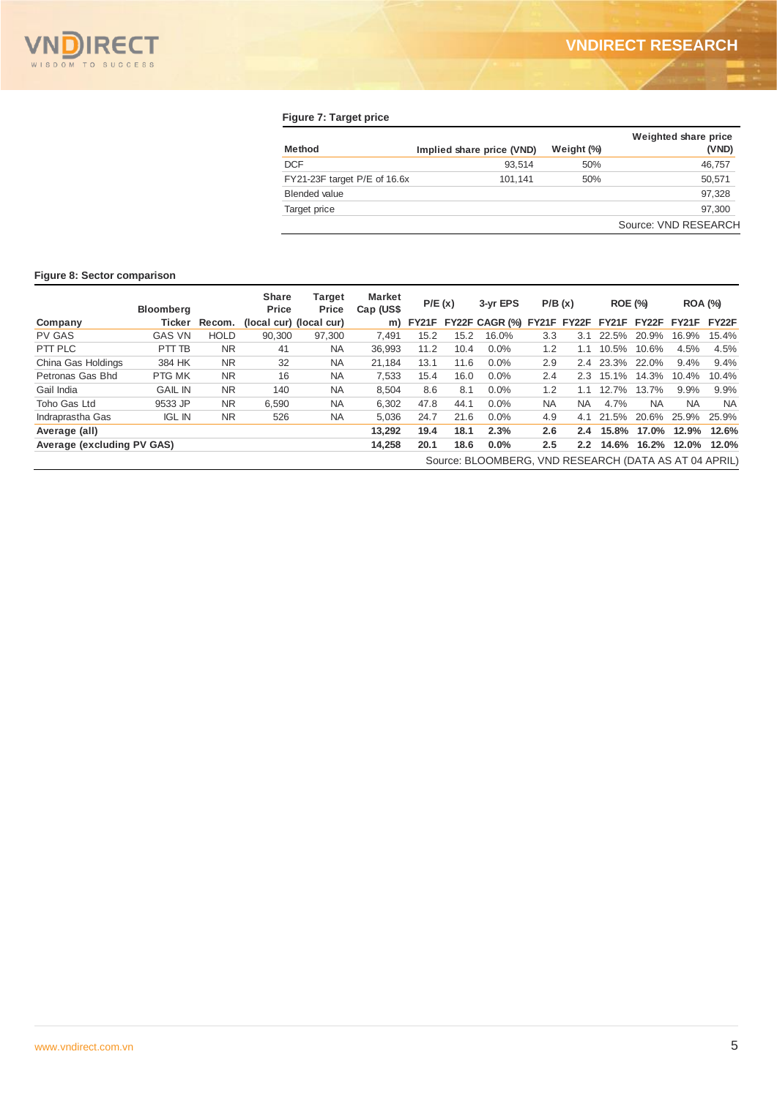# **Figure 7: Target price**

| Method                           | Implied share price (VND) | Weight (%) | Weighted share price<br>(VND) |
|----------------------------------|---------------------------|------------|-------------------------------|
| <b>DCF</b>                       | 93.514                    | 50%        | 46,757                        |
| $FY21-23F$ target $P/E$ of 16.6x | 101.141                   | 50%        | 50,571                        |
| <b>Blended value</b>             |                           |            | 97,328                        |
| Target price                     |                           |            | 97.300                        |
|                                  |                           |            | Source: VND RESEARCH          |

# **Figure 8: Sector comparison**

|                            | <b>Bloomberg</b> |             | <b>Share</b><br>Price   | <b>Target</b><br>Price | <b>Market</b><br>Cap (US\$ | P/E(x) |      | 3-yr EPS                                              |           | P/B(x)        | <b>ROE (%)</b> |           | <b>ROA (%)</b> |           |
|----------------------------|------------------|-------------|-------------------------|------------------------|----------------------------|--------|------|-------------------------------------------------------|-----------|---------------|----------------|-----------|----------------|-----------|
| Company                    | Ticker           | Recom.      | (local cur) (local cur) |                        | m)                         | FY21F  |      | FY22F CAGR (%)                                        |           | FY21F FY22F   | FY21F          | FY22F     | <b>FY21F</b>   | FY22F     |
| <b>PV GAS</b>              | <b>GAS VN</b>    | <b>HOLD</b> | 90.300                  | 97,300                 | 7,491                      | 15.2   | 15.2 | 16.0%                                                 | 3.3       | 3.1           | 22.5%          | 20.9%     | 16.9%          | 15.4%     |
| PTT PLC                    | PTT TB           | <b>NR</b>   | 41                      | <b>NA</b>              | 36,993                     | 11.2   | 10.4 | $0.0\%$                                               | 1.2       | 1.1           | 10.5%          | 10.6%     | 4.5%           | 4.5%      |
| China Gas Holdings         | 384 HK           | NR.         | 32                      | <b>NA</b>              | 21,184                     | 13.1   | 11.6 | 0.0%                                                  | 2.9       | $2.4^{\circ}$ | 23.3%          | 22.0%     | 9.4%           | 9.4%      |
| Petronas Gas Bhd           | PTG MK           | NR.         | 16                      | <b>NA</b>              | 7,533                      | 15.4   | 16.0 | 0.0%                                                  | 2.4       | 2.3           | 15.1%          | 14.3%     | 10.4%          | 10.4%     |
| Gail India                 | <b>GAIL IN</b>   | <b>NR</b>   | 140                     | <b>NA</b>              | 8,504                      | 8.6    | 8.1  | 0.0%                                                  | 1.2       | 1.1           | 12.7%          | 13.7%     | 9.9%           | 9.9%      |
| Toho Gas Ltd               | 9533 JP          | NR.         | 6.590                   | <b>NA</b>              | 6.302                      | 47.8   | 44.1 | 0.0%                                                  | <b>NA</b> | NA.           | 4.7%           | <b>NA</b> | <b>NA</b>      | <b>NA</b> |
| Indraprastha Gas           | <b>IGL IN</b>    | <b>NR</b>   | 526                     | <b>NA</b>              | 5,036                      | 24.7   | 21.6 | 0.0%                                                  | 4.9       | 4.1           | 21.5%          | 20.6%     | 25.9%          | 25.9%     |
| Average (all)              |                  |             |                         |                        | 13,292                     | 19.4   | 18.1 | 2.3%                                                  | 2.6       | $2.4^{\circ}$ | 15.8%          | 17.0%     | 12.9%          | 12.6%     |
| Average (excluding PV GAS) |                  |             |                         |                        | 14,258                     | 20.1   | 18.6 | 0.0%                                                  | 2.5       | $2.2^{\circ}$ | 14.6%          | 16.2%     | 12.0%          | 12.0%     |
|                            |                  |             |                         |                        |                            |        |      | Source: BLOOMBERG, VND RESEARCH (DATA AS AT 04 APRIL) |           |               |                |           |                |           |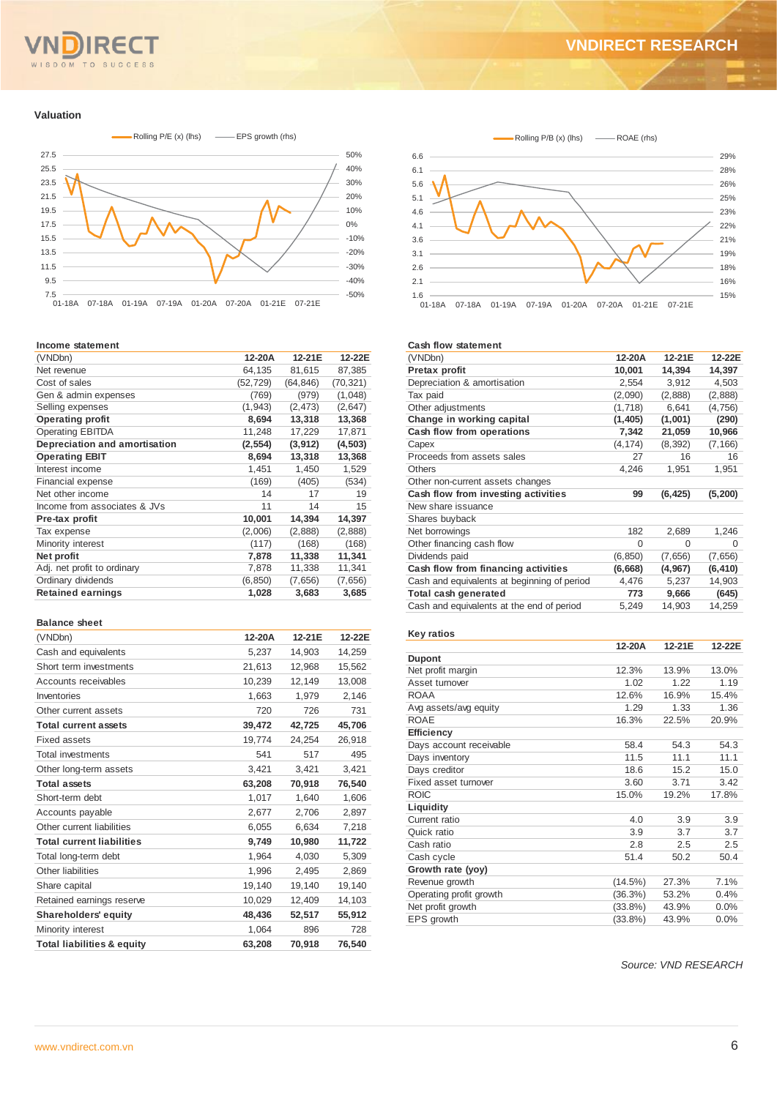### TO SUCCESS  $S<sub>D</sub>$ O M

### **Valuation**



### **Income statement**

| (VNDbn)                       | 12-20A    | 12-21E    | 12-22E    |
|-------------------------------|-----------|-----------|-----------|
| Net revenue                   | 64,135    | 81,615    | 87,385    |
| Cost of sales                 | (52, 729) | (64, 846) | (70, 321) |
| Gen & admin expenses          | (769)     | (979)     | (1,048)   |
| Selling expenses              | (1, 943)  | (2, 473)  | (2,647)   |
| <b>Operating profit</b>       | 8,694     | 13,318    | 13,368    |
| <b>Operating EBITDA</b>       | 11,248    | 17,229    | 17,871    |
| Depreciation and amortisation | (2, 554)  | (3,912)   | (4, 503)  |
| <b>Operating EBIT</b>         | 8,694     | 13,318    | 13,368    |
| Interest income               | 1,451     | 1,450     | 1,529     |
| Financial expense             | (169)     | (405)     | (534)     |
| Net other income              | 14        | 17        | 19        |
| Income from associates & JVs  | 11        | 14        | 15        |
| Pre-tax profit                | 10,001    | 14,394    | 14,397    |
| Tax expense                   | (2,006)   | (2,888)   | (2,888)   |
| Minority interest             | (117)     | (168)     | (168)     |
| Net profit                    | 7,878     | 11,338    | 11,341    |
| Adj. net profit to ordinary   | 7,878     | 11,338    | 11,341    |
| Ordinary dividends            | (6, 850)  | (7,656)   | (7,656)   |
| <b>Retained earnings</b>      | 1,028     | 3,683     | 3,685     |
|                               |           |           |           |

# **Balance sheet**

| (VNDbn)                               | 12-20A | 12-21E | 12-22E |
|---------------------------------------|--------|--------|--------|
| Cash and equivalents                  | 5,237  | 14,903 | 14,259 |
| Short term investments                | 21,613 | 12,968 | 15,562 |
| Accounts receivables                  | 10,239 | 12,149 | 13,008 |
| Inventories                           | 1,663  | 1,979  | 2,146  |
| Other current assets                  | 720    | 726    | 731    |
| <b>Total current assets</b>           | 39,472 | 42,725 | 45,706 |
| <b>Fixed assets</b>                   | 19,774 | 24,254 | 26,918 |
| <b>Total investments</b>              | 541    | 517    | 495    |
| Other long-term assets                | 3,421  | 3,421  | 3,421  |
| <b>Total assets</b>                   | 63,208 | 70,918 | 76,540 |
| Short-term debt                       | 1,017  | 1,640  | 1,606  |
| Accounts payable                      | 2,677  | 2,706  | 2,897  |
| Other current liabilities             | 6,055  | 6,634  | 7,218  |
| <b>Total current liabilities</b>      | 9,749  | 10,980 | 11,722 |
| Total long-term debt                  | 1,964  | 4,030  | 5,309  |
| Other liabilities                     | 1,996  | 2,495  | 2,869  |
| Share capital                         | 19,140 | 19,140 | 19,140 |
| Retained earnings reserve             | 10,029 | 12,409 | 14,103 |
| <b>Shareholders' equity</b>           | 48,436 | 52,517 | 55,912 |
| Minority interest                     | 1,064  | 896    | 728    |
| <b>Total liabilities &amp; equity</b> | 63,208 | 70.918 | 76.540 |



### **Cash flow statement**

| (VNDbn)                                     | 12-20A   | 12-21E   | 12-22E   |
|---------------------------------------------|----------|----------|----------|
| Pretax profit                               | 10,001   | 14,394   | 14,397   |
| Depreciation & amortisation                 | 2,554    | 3,912    | 4,503    |
| Tax paid                                    | (2,090)  | (2,888)  | (2,888)  |
| Other adjustments                           | (1,718)  | 6,641    | (4,756)  |
| Change in working capital                   | (1,405)  | (1,001)  | (290)    |
| Cash flow from operations                   | 7,342    | 21,059   | 10,966   |
| Capex                                       | (4, 174) | (8, 392) | (7, 166) |
| Proceeds from assets sales                  | 27       | 16       | 16       |
| <b>Others</b>                               | 4,246    | 1,951    | 1,951    |
| Other non-current assets changes            |          |          |          |
| Cash flow from investing activities         | 99       | (6, 425) | (5, 200) |
| New share issuance                          |          |          |          |
| Shares buyback                              |          |          |          |
| Net borrowings                              | 182      | 2,689    | 1,246    |
| Other financing cash flow                   | $\Omega$ | 0        | 0        |
| Dividends paid                              | (6, 850) | (7,656)  | (7,656)  |
| Cash flow from financing activities         | (6,668)  | (4, 967) | (6, 410) |
| Cash and equivalents at beginning of period | 4,476    | 5,237    | 14,903   |
| Total cash generated                        | 773      | 9,666    | (645)    |
| Cash and equivalents at the end of period   | 5,249    | 14,903   | 14,259   |

### **Key ratios**

|                         | 12-20A     | 12-21E | 12-22E |
|-------------------------|------------|--------|--------|
| <b>Dupont</b>           |            |        |        |
| Net profit margin       | 12.3%      | 13.9%  | 13.0%  |
| Asset turnover          | 1.02       | 1.22   | 1.19   |
| <b>ROAA</b>             | 12.6%      | 16.9%  | 15.4%  |
| Avg assets/avg equity   | 1.29       | 1.33   | 1.36   |
| <b>ROAE</b>             | 16.3%      | 22.5%  | 20.9%  |
| Efficiency              |            |        |        |
| Days account receivable | 58.4       | 54.3   | 54.3   |
| Days inventory          | 11.5       | 11.1   | 11.1   |
| Days creditor           | 18.6       | 15.2   | 15.0   |
| Fixed asset turnover    | 3.60       | 3.71   | 3.42   |
| <b>ROIC</b>             | 15.0%      | 19.2%  | 17.8%  |
| Liquidity               |            |        |        |
| Current ratio           | 4.0        | 3.9    | 3.9    |
| Quick ratio             | 3.9        | 3.7    | 3.7    |
| Cash ratio              | 2.8        | 2.5    | 2.5    |
| Cash cycle              | 51.4       | 50.2   | 50.4   |
| Growth rate (yoy)       |            |        |        |
| Revenue growth          | (14.5%)    | 27.3%  | 7.1%   |
| Operating profit growth | (36.3%)    | 53.2%  | 0.4%   |
| Net profit growth       | $(33.8\%)$ | 43.9%  | 0.0%   |
| EPS growth              | $(33.8\%)$ | 43.9%  | 0.0%   |

*Source: VND RESEARCH*